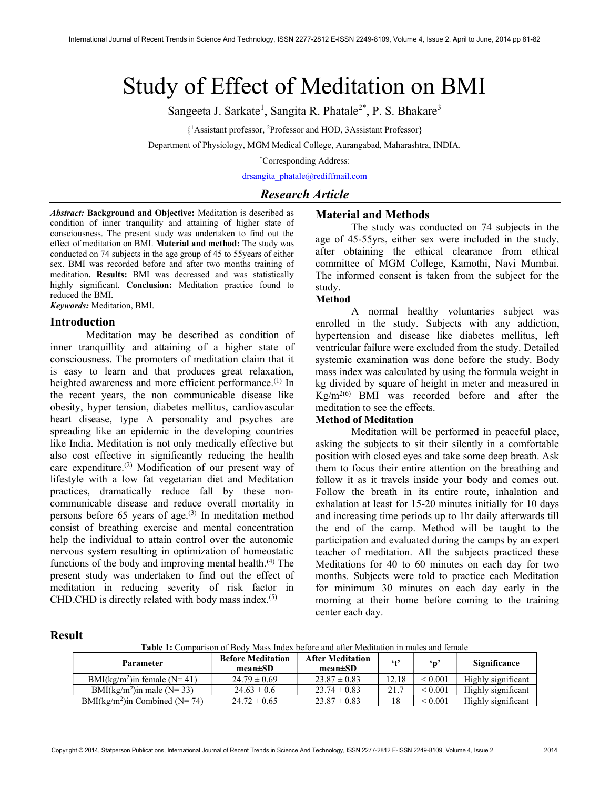# Study of Effect of Meditation on BMI

Sangeeta J. Sarkate<sup>1</sup>, Sangita R. Phatale<sup>2\*</sup>, P. S. Bhakare<sup>3</sup>

{ <sup>1</sup>Assistant professor, <sup>2</sup>Professor and HOD, 3Assistant Professor}

Department of Physiology, MGM Medical College, Aurangabad, Maharashtra, INDIA.

\*Corresponding Address:

drsangita\_phatale@rediffmail.com

## Research Article

Abstract: Background and Objective: Meditation is described as condition of inner tranquility and attaining of higher state of consciousness. The present study was undertaken to find out the effect of meditation on BMI. Material and method: The study was conducted on 74 subjects in the age group of 45 to 55years of either sex. BMI was recorded before and after two months training of meditation. Results: BMI was decreased and was statistically highly significant. Conclusion: Meditation practice found to reduced the BMI.

Keywords: Meditation, BMI.

#### Introduction

Meditation may be described as condition of inner tranquillity and attaining of a higher state of consciousness. The promoters of meditation claim that it is easy to learn and that produces great relaxation, heighted awareness and more efficient performance.<sup>(1)</sup> In the recent years, the non communicable disease like obesity, hyper tension, diabetes mellitus, cardiovascular heart disease, type A personality and psyches are spreading like an epidemic in the developing countries like India. Meditation is not only medically effective but also cost effective in significantly reducing the health care expenditure.(2) Modification of our present way of lifestyle with a low fat vegetarian diet and Meditation practices, dramatically reduce fall by these noncommunicable disease and reduce overall mortality in persons before  $65$  years of age.<sup>(3)</sup> In meditation method consist of breathing exercise and mental concentration help the individual to attain control over the autonomic nervous system resulting in optimization of homeostatic functions of the body and improving mental health. $(4)$  The present study was undertaken to find out the effect of meditation in reducing severity of risk factor in CHD.CHD is directly related with body mass index. $(5)$ 

## Material and Methods

The study was conducted on 74 subjects in the age of 45-55yrs, either sex were included in the study, after obtaining the ethical clearance from ethical committee of MGM College, Kamothi, Navi Mumbai. The informed consent is taken from the subject for the study.

#### Method

A normal healthy voluntaries subject was enrolled in the study. Subjects with any addiction, hypertension and disease like diabetes mellitus, left ventricular failure were excluded from the study. Detailed systemic examination was done before the study. Body mass index was calculated by using the formula weight in kg divided by square of height in meter and measured in  $Kg/m^{2(6)}$  BMI was recorded before and after the meditation to see the effects.

## Method of Meditation

Meditation will be performed in peaceful place, asking the subjects to sit their silently in a comfortable position with closed eyes and take some deep breath. Ask them to focus their entire attention on the breathing and follow it as it travels inside your body and comes out. Follow the breath in its entire route, inhalation and exhalation at least for 15-20 minutes initially for 10 days and increasing time periods up to 1hr daily afterwards till the end of the camp. Method will be taught to the participation and evaluated during the camps by an expert teacher of meditation. All the subjects practiced these Meditations for 40 to 60 minutes on each day for two months. Subjects were told to practice each Meditation for minimum 30 minutes on each day early in the morning at their home before coming to the training center each day.

#### Result

Table 1: Comparison of Body Mass Index before and after Meditation in males and female

| <b>Parameter</b>                            | <b>Before Meditation</b><br>$mean \pm SD$ | <b>After Meditation</b><br>$mean \pm SD$ | $6 + 9$ | ʻn                | Significance       |
|---------------------------------------------|-------------------------------------------|------------------------------------------|---------|-------------------|--------------------|
| BMI( $kg/m^2$ )in female (N=41)             | $24.79 \pm 0.69$                          | $23.87 \pm 0.83$                         | 12.18   | ${}_{0.001}$      | Highly significant |
| BMI( $k\text{g/m}^2$ ) in male ( $N = 33$ ) | $24.63 \pm 0.6$                           | $23.74 \pm 0.83$                         | 21.7    | ${}_{\leq 0.001}$ | Highly significant |
| $BMI(kg/m2)$ in Combined (N= 74)            | $24.72 \pm 0.65$                          | $23.87 \pm 0.83$                         | 18      | ${}_{\leq 0.001}$ | Highly significant |